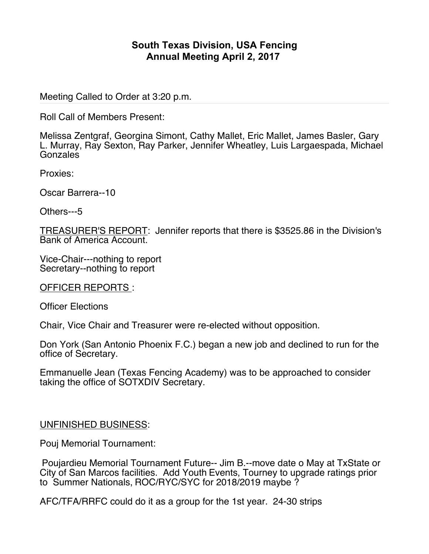## **South Texas Division, USA Fencing Annual Meeting April 2, 2017**

Meeting Called to Order at 3:20 p.m.

Roll Call of Members Present:

Melissa Zentgraf, Georgina Simont, Cathy Mallet, Eric Mallet, James Basler, Gary L. Murray, Ray Sexton, Ray Parker, Jennifer Wheatley, Luis Largaespada, Michael **Gonzales** 

Proxies:

Oscar Barrera--10

Others---5

TREASURER'S REPORT: Jennifer reports that there is \$3525.86 in the Division's Bank of America Account.

Vice-Chair---nothing to report Secretary--nothing to report

OFFICER REPORTS :

Officer Elections

Chair, Vice Chair and Treasurer were re-elected without opposition.

Don York (San Antonio Phoenix F.C.) began a new job and declined to run for the office of Secretary.

Emmanuelle Jean (Texas Fencing Academy) was to be approached to consider taking the office of SOTXDIV Secretary.

## UNFINISHED BUSINESS:

Pouj Memorial Tournament:

Poujardieu Memorial Tournament Future-- Jim B.--move date o May at TxState or City of San Marcos facilities. Add Youth Events, Tourney to upgrade ratings prior to Summer Nationals, ROC/RYC/SYC for 2018/2019 maybe ?

AFC/TFA/RRFC could do it as a group for the 1st year. 24-30 strips